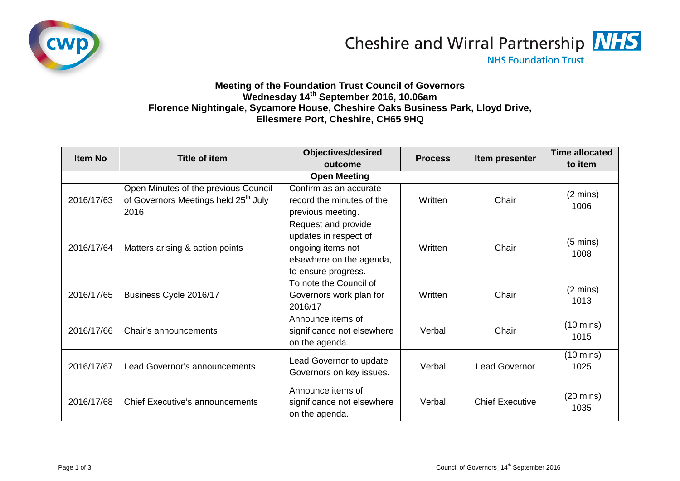



**NHS Foundation Trust** 

## **Meeting of the Foundation Trust Council of Governors Wednesday 14th September 2016, 10.06am Florence Nightingale, Sycamore House, Cheshire Oaks Business Park, Lloyd Drive, Ellesmere Port, Cheshire, CH65 9HQ**

| <b>Item No</b>      | Title of item                                                                                    | <b>Objectives/desired</b>                                                                                            | <b>Process</b> | Item presenter         | <b>Time allocated</b>       |  |  |  |
|---------------------|--------------------------------------------------------------------------------------------------|----------------------------------------------------------------------------------------------------------------------|----------------|------------------------|-----------------------------|--|--|--|
|                     |                                                                                                  | outcome                                                                                                              |                |                        | to item                     |  |  |  |
| <b>Open Meeting</b> |                                                                                                  |                                                                                                                      |                |                        |                             |  |  |  |
| 2016/17/63          | Open Minutes of the previous Council<br>of Governors Meetings held 25 <sup>th</sup> July<br>2016 | Confirm as an accurate<br>record the minutes of the<br>previous meeting.                                             | Written        | Chair                  | $(2 \text{ mins})$<br>1006  |  |  |  |
| 2016/17/64          | Matters arising & action points                                                                  | Request and provide<br>updates in respect of<br>ongoing items not<br>elsewhere on the agenda,<br>to ensure progress. | Written        | Chair                  | $(5 \text{ mins})$<br>1008  |  |  |  |
| 2016/17/65          | Business Cycle 2016/17                                                                           | To note the Council of<br>Governors work plan for<br>2016/17                                                         | Written        | Chair                  | $(2 \text{ mins})$<br>1013  |  |  |  |
| 2016/17/66          | Chair's announcements                                                                            | Announce items of<br>significance not elsewhere<br>on the agenda.                                                    | Verbal         | Chair                  | $(10 \text{ mins})$<br>1015 |  |  |  |
| 2016/17/67          | Lead Governor's announcements                                                                    | Lead Governor to update<br>Governors on key issues.                                                                  | Verbal         | <b>Lead Governor</b>   | $(10 \text{ mins})$<br>1025 |  |  |  |
| 2016/17/68          | <b>Chief Executive's announcements</b>                                                           | Announce items of<br>significance not elsewhere<br>on the agenda.                                                    | Verbal         | <b>Chief Executive</b> | $(20 \text{ mins})$<br>1035 |  |  |  |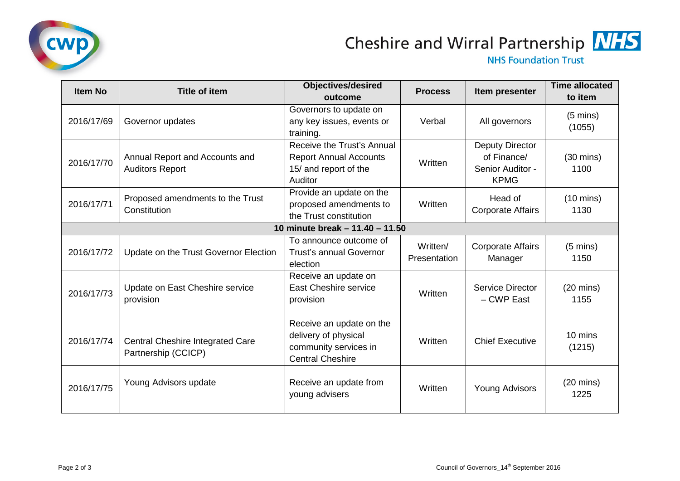

## Cheshire and Wirral Partnership MHS

**NHS Foundation Trust** 

| <b>Item No</b>                  | <b>Title of item</b>                                           | <b>Objectives/desired</b><br>outcome                                                                 | <b>Process</b>           | Item presenter                                                    | <b>Time allocated</b><br>to item |  |  |
|---------------------------------|----------------------------------------------------------------|------------------------------------------------------------------------------------------------------|--------------------------|-------------------------------------------------------------------|----------------------------------|--|--|
| 2016/17/69                      | Governor updates                                               | Governors to update on<br>any key issues, events or<br>training.                                     | Verbal                   | All governors                                                     | $(5 \text{ mins})$<br>(1055)     |  |  |
| 2016/17/70                      | Annual Report and Accounts and<br><b>Auditors Report</b>       | Receive the Trust's Annual<br><b>Report Annual Accounts</b><br>15/ and report of the<br>Auditor      | Written                  | Deputy Director<br>of Finance/<br>Senior Auditor -<br><b>KPMG</b> | $(30 \text{ mins})$<br>1100      |  |  |
| 2016/17/71                      | Proposed amendments to the Trust<br>Constitution               | Provide an update on the<br>proposed amendments to<br>the Trust constitution                         | Written                  | Head of<br><b>Corporate Affairs</b>                               | $(10 \text{ mins})$<br>1130      |  |  |
| 10 minute break - 11.40 - 11.50 |                                                                |                                                                                                      |                          |                                                                   |                                  |  |  |
| 2016/17/72                      | Update on the Trust Governor Election                          | To announce outcome of<br><b>Trust's annual Governor</b><br>election                                 | Written/<br>Presentation | <b>Corporate Affairs</b><br>Manager                               | $(5 \text{ mins})$<br>1150       |  |  |
| 2016/17/73                      | Update on East Cheshire service<br>provision                   | Receive an update on<br><b>East Cheshire service</b><br>provision                                    | Written                  | Service Director<br>- CWP East                                    | $(20 \text{ mins})$<br>1155      |  |  |
| 2016/17/74                      | <b>Central Cheshire Integrated Care</b><br>Partnership (CCICP) | Receive an update on the<br>delivery of physical<br>community services in<br><b>Central Cheshire</b> | Written                  | <b>Chief Executive</b>                                            | 10 mins<br>(1215)                |  |  |
| 2016/17/75                      | Young Advisors update                                          | Receive an update from<br>young advisers                                                             | Written                  | <b>Young Advisors</b>                                             | $(20 \text{ mins})$<br>1225      |  |  |